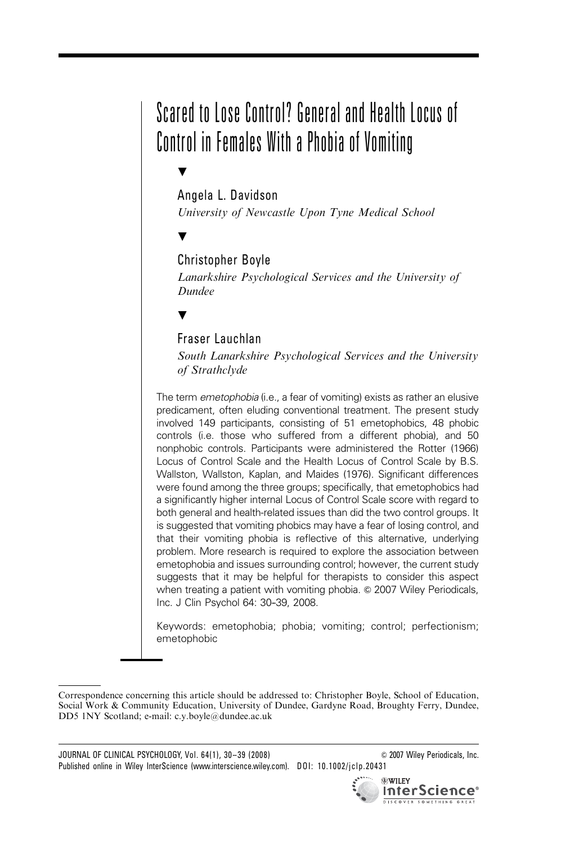# Scared to Lose Control? General and Health Locus of Control in Females With a Phobia of Vomiting

Angela L. Davidson University of Newcastle Upon Tyne Medical School

# $\blacktriangledown$

 $\blacktriangledown$ 

# Christopher Boyle

Lanarkshire Psychological Services and the University of Dundee

## $\blacktriangledown$

## Fraser Lauchlan

South Lanarkshire Psychological Services and the University of Strathclyde

The term *emetophobia* (i.e., a fear of vomiting) exists as rather an elusive predicament, often eluding conventional treatment. The present study involved 149 participants, consisting of 51 emetophobics, 48 phobic controls (i.e. those who suffered from a different phobia), and 50 nonphobic controls. Participants were administered the Rotter (1966) Locus of Control Scale and the Health Locus of Control Scale by B.S. Wallston, Wallston, Kaplan, and Maides (1976). Significant differences were found among the three groups; specifically, that emetophobics had a significantly higher internal Locus of Control Scale score with regard to both general and health-related issues than did the two control groups. It is suggested that vomiting phobics may have a fear of losing control, and that their vomiting phobia is reflective of this alternative, underlying problem. More research is required to explore the association between emetophobia and issues surrounding control; however, the current study suggests that it may be helpful for therapists to consider this aspect when treating a patient with vomiting phobia. © 2007 Wiley Periodicals, Inc. J Clin Psychol 64: 30-39, 2008.

Keywords: emetophobia; phobia; vomiting; control; perfectionism; emetophobic



Correspondence concerning this article should be addressed to: Christopher Boyle, School of Education, Social Work & Community Education, University of Dundee, Gardyne Road, Broughty Ferry, Dundee, DD5 1NY Scotland; e-mail: c.y.boyle@dundee.ac.uk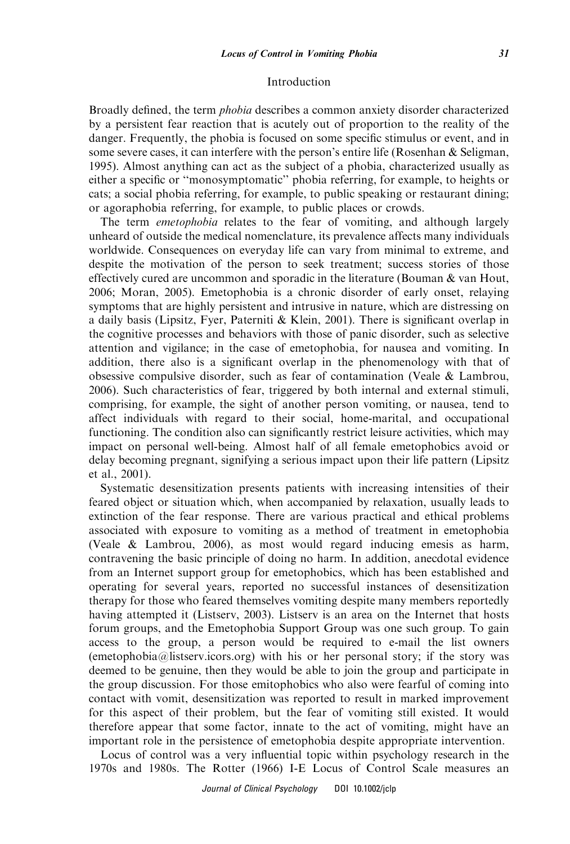#### Introduction

Broadly defined, the term phobia describes a common anxiety disorder characterized by a persistent fear reaction that is acutely out of proportion to the reality of the danger. Frequently, the phobia is focused on some specific stimulus or event, and in some severe cases, it can interfere with the person's entire life (Rosenhan  $\&$  Seligman, 1995). Almost anything can act as the subject of a phobia, characterized usually as either a specific or ''monosymptomatic'' phobia referring, for example, to heights or cats; a social phobia referring, for example, to public speaking or restaurant dining; or agoraphobia referring, for example, to public places or crowds.

The term *emetophobia* relates to the fear of vomiting, and although largely unheard of outside the medical nomenclature, its prevalence affects many individuals worldwide. Consequences on everyday life can vary from minimal to extreme, and despite the motivation of the person to seek treatment; success stories of those effectively cured are uncommon and sporadic in the literature (Bouman & van Hout, 2006; Moran, 2005). Emetophobia is a chronic disorder of early onset, relaying symptoms that are highly persistent and intrusive in nature, which are distressing on a daily basis (Lipsitz, Fyer, Paterniti & Klein, 2001). There is significant overlap in the cognitive processes and behaviors with those of panic disorder, such as selective attention and vigilance; in the case of emetophobia, for nausea and vomiting. In addition, there also is a significant overlap in the phenomenology with that of obsessive compulsive disorder, such as fear of contamination (Veale & Lambrou, 2006). Such characteristics of fear, triggered by both internal and external stimuli, comprising, for example, the sight of another person vomiting, or nausea, tend to affect individuals with regard to their social, home-marital, and occupational functioning. The condition also can significantly restrict leisure activities, which may impact on personal well-being. Almost half of all female emetophobics avoid or delay becoming pregnant, signifying a serious impact upon their life pattern (Lipsitz et al., 2001).

Systematic desensitization presents patients with increasing intensities of their feared object or situation which, when accompanied by relaxation, usually leads to extinction of the fear response. There are various practical and ethical problems associated with exposure to vomiting as a method of treatment in emetophobia (Veale & Lambrou, 2006), as most would regard inducing emesis as harm, contravening the basic principle of doing no harm. In addition, anecdotal evidence from an Internet support group for emetophobics, which has been established and operating for several years, reported no successful instances of desensitization therapy for those who feared themselves vomiting despite many members reportedly having attempted it (Listserv, 2003). Listserv is an area on the Internet that hosts forum groups, and the Emetophobia Support Group was one such group. To gain access to the group, a person would be required to e-mail the list owners  $($ emetophobia@listserv.icors.org) with his or her personal story; if the story was deemed to be genuine, then they would be able to join the group and participate in the group discussion. For those emitophobics who also were fearful of coming into contact with vomit, desensitization was reported to result in marked improvement for this aspect of their problem, but the fear of vomiting still existed. It would therefore appear that some factor, innate to the act of vomiting, might have an important role in the persistence of emetophobia despite appropriate intervention.

Locus of control was a very influential topic within psychology research in the 1970s and 1980s. The Rotter (1966) I-E Locus of Control Scale measures an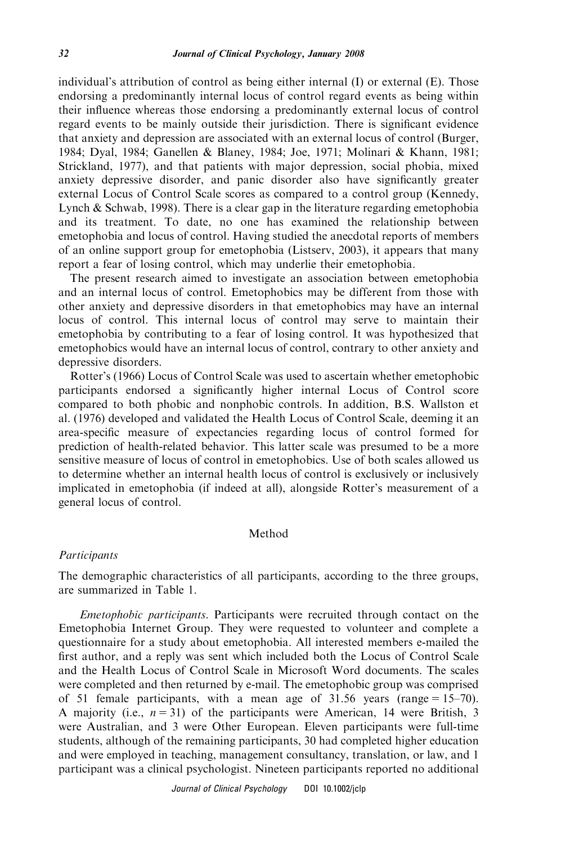individual's attribution of control as being either internal (I) or external (E). Those endorsing a predominantly internal locus of control regard events as being within their influence whereas those endorsing a predominantly external locus of control regard events to be mainly outside their jurisdiction. There is significant evidence that anxiety and depression are associated with an external locus of control (Burger, 1984; Dyal, 1984; Ganellen & Blaney, 1984; Joe, 1971; Molinari & Khann, 1981; Strickland, 1977), and that patients with major depression, social phobia, mixed anxiety depressive disorder, and panic disorder also have significantly greater external Locus of Control Scale scores as compared to a control group (Kennedy, Lynch & Schwab, 1998). There is a clear gap in the literature regarding emetophobia and its treatment. To date, no one has examined the relationship between emetophobia and locus of control. Having studied the anecdotal reports of members of an online support group for emetophobia (Listserv, 2003), it appears that many report a fear of losing control, which may underlie their emetophobia.

The present research aimed to investigate an association between emetophobia and an internal locus of control. Emetophobics may be different from those with other anxiety and depressive disorders in that emetophobics may have an internal locus of control. This internal locus of control may serve to maintain their emetophobia by contributing to a fear of losing control. It was hypothesized that emetophobics would have an internal locus of control, contrary to other anxiety and depressive disorders.

Rotter's (1966) Locus of Control Scale was used to ascertain whether emetophobic participants endorsed a significantly higher internal Locus of Control score compared to both phobic and nonphobic controls. In addition, B.S. Wallston et al. (1976) developed and validated the Health Locus of Control Scale, deeming it an area-specific measure of expectancies regarding locus of control formed for prediction of health-related behavior. This latter scale was presumed to be a more sensitive measure of locus of control in emetophobics. Use of both scales allowed us to determine whether an internal health locus of control is exclusively or inclusively implicated in emetophobia (if indeed at all), alongside Rotter's measurement of a general locus of control.

#### Method

#### Participants

The demographic characteristics of all participants, according to the three groups, are summarized in Table 1.

Emetophobic participants. Participants were recruited through contact on the Emetophobia Internet Group. They were requested to volunteer and complete a questionnaire for a study about emetophobia. All interested members e-mailed the first author, and a reply was sent which included both the Locus of Control Scale and the Health Locus of Control Scale in Microsoft Word documents. The scales were completed and then returned by e-mail. The emetophobic group was comprised of 51 female participants, with a mean age of 31.56 years (range  $= 15-70$ ). A majority (i.e.,  $n = 31$ ) of the participants were American, 14 were British, 3 were Australian, and 3 were Other European. Eleven participants were full-time students, although of the remaining participants, 30 had completed higher education and were employed in teaching, management consultancy, translation, or law, and 1 participant was a clinical psychologist. Nineteen participants reported no additional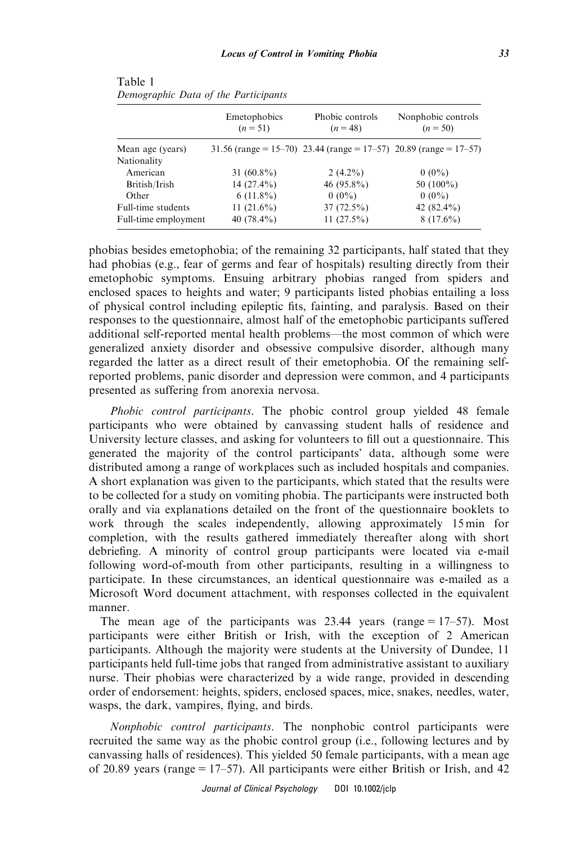| $-$ , $\lambda$ , , $-$ , , , , , , , |                          |                             |                                                                     |  |
|---------------------------------------|--------------------------|-----------------------------|---------------------------------------------------------------------|--|
|                                       | Emetophobics<br>$(n=51)$ | Phobic controls<br>$(n=48)$ | Nonphobic controls<br>$(n = 50)$                                    |  |
| Mean age (years)<br>Nationality       |                          |                             | $31.56$ (range = 15–70) 23.44 (range = 17–57) 20.89 (range = 17–57) |  |
| American                              | 31 $(60.8\%)$            | $2(4.2\%)$                  | $0(0\%)$                                                            |  |
| British/Irish                         | $14(27.4\%)$             | 46 $(95.8\%)$               | 50 $(100\%)$                                                        |  |
| Other                                 | $6(11.8\%)$              | $0(0\%)$                    | $0(0\%)$                                                            |  |
| Full-time students                    | 11 $(21.6\%)$            | $37(72.5\%)$                | 42 $(82.4\%)$                                                       |  |
| Full-time employment                  | 40 $(78.4\%)$            | $11(27.5\%)$                | $8(17.6\%)$                                                         |  |

Table 1 Demographic Data of the Participants

phobias besides emetophobia; of the remaining 32 participants, half stated that they had phobias (e.g., fear of germs and fear of hospitals) resulting directly from their emetophobic symptoms. Ensuing arbitrary phobias ranged from spiders and enclosed spaces to heights and water; 9 participants listed phobias entailing a loss of physical control including epileptic fits, fainting, and paralysis. Based on their responses to the questionnaire, almost half of the emetophobic participants suffered additional self-reported mental health problems—the most common of which were generalized anxiety disorder and obsessive compulsive disorder, although many regarded the latter as a direct result of their emetophobia. Of the remaining selfreported problems, panic disorder and depression were common, and 4 participants presented as suffering from anorexia nervosa.

Phobic control participants. The phobic control group yielded 48 female participants who were obtained by canvassing student halls of residence and University lecture classes, and asking for volunteers to fill out a questionnaire. This generated the majority of the control participants' data, although some were distributed among a range of workplaces such as included hospitals and companies. A short explanation was given to the participants, which stated that the results were to be collected for a study on vomiting phobia. The participants were instructed both orally and via explanations detailed on the front of the questionnaire booklets to work through the scales independently, allowing approximately 15 min for completion, with the results gathered immediately thereafter along with short debriefing. A minority of control group participants were located via e-mail following word-of-mouth from other participants, resulting in a willingness to participate. In these circumstances, an identical questionnaire was e-mailed as a Microsoft Word document attachment, with responses collected in the equivalent manner.

The mean age of the participants was  $23.44$  years (range  $= 17-57$ ). Most participants were either British or Irish, with the exception of 2 American participants. Although the majority were students at the University of Dundee, 11 participants held full-time jobs that ranged from administrative assistant to auxiliary nurse. Their phobias were characterized by a wide range, provided in descending order of endorsement: heights, spiders, enclosed spaces, mice, snakes, needles, water, wasps, the dark, vampires, flying, and birds.

Nonphobic control participants. The nonphobic control participants were recruited the same way as the phobic control group (i.e., following lectures and by canvassing halls of residences). This yielded 50 female participants, with a mean age of 20.89 years (range  $= 17-57$ ). All participants were either British or Irish, and 42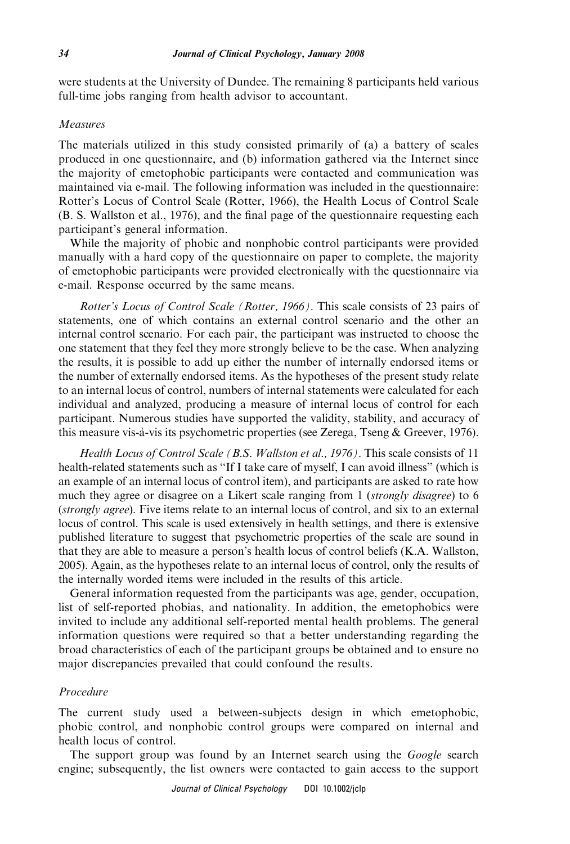were students at the University of Dundee. The remaining 8 participants held various full-time jobs ranging from health advisor to accountant.

#### Measures

The materials utilized in this study consisted primarily of (a) a battery of scales produced in one questionnaire, and (b) information gathered via the Internet since the majority of emetophobic participants were contacted and communication was maintained via e-mail. The following information was included in the questionnaire: Rotter's Locus of Control Scale (Rotter, 1966), the Health Locus of Control Scale (B. S. Wallston et al., 1976), and the final page of the questionnaire requesting each participant's general information.

While the majority of phobic and nonphobic control participants were provided manually with a hard copy of the questionnaire on paper to complete, the majority of emetophobic participants were provided electronically with the questionnaire via e-mail. Response occurred by the same means.

Rotter's Locus of Control Scale (Rotter, 1966). This scale consists of 23 pairs of statements, one of which contains an external control scenario and the other an internal control scenario. For each pair, the participant was instructed to choose the one statement that they feel they more strongly believe to be the case. When analyzing the results, it is possible to add up either the number of internally endorsed items or the number of externally endorsed items. As the hypotheses of the present study relate to an internal locus of control, numbers of internal statements were calculated for each individual and analyzed, producing a measure of internal locus of control for each participant. Numerous studies have supported the validity, stability, and accuracy of this measure vis-à-vis its psychometric properties (see Zerega, Tseng & Greever, 1976).

Health Locus of Control Scale (B.S. Wallston et al., 1976). This scale consists of 11 health-related statements such as "If I take care of myself, I can avoid illness" (which is an example of an internal locus of control item), and participants are asked to rate how much they agree or disagree on a Likert scale ranging from 1 *(strongly disagree)* to 6 (strongly agree). Five items relate to an internal locus of control, and six to an external locus of control. This scale is used extensively in health settings, and there is extensive published literature to suggest that psychometric properties of the scale are sound in that they are able to measure a person's health locus of control beliefs (K.A. Wallston, 2005). Again, as the hypotheses relate to an internal locus of control, only the results of the internally worded items were included in the results of this article.

General information requested from the participants was age, gender, occupation, list of self-reported phobias, and nationality. In addition, the emetophobics were invited to include any additional self-reported mental health problems. The general information questions were required so that a better understanding regarding the broad characteristics of each of the participant groups be obtained and to ensure no major discrepancies prevailed that could confound the results.

#### Procedure

The current study used a between-subjects design in which emetophobic, phobic control, and nonphobic control groups were compared on internal and health locus of control.

The support group was found by an Internet search using the *Google* search engine; subsequently, the list owners were contacted to gain access to the support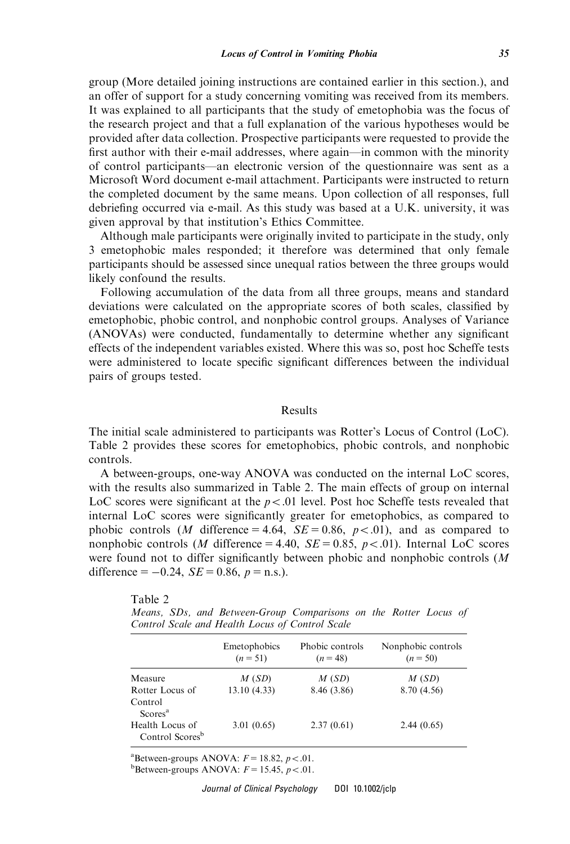group (More detailed joining instructions are contained earlier in this section.), and an offer of support for a study concerning vomiting was received from its members. It was explained to all participants that the study of emetophobia was the focus of the research project and that a full explanation of the various hypotheses would be provided after data collection. Prospective participants were requested to provide the first author with their e-mail addresses, where again—in common with the minority of control participants—an electronic version of the questionnaire was sent as a Microsoft Word document e-mail attachment. Participants were instructed to return the completed document by the same means. Upon collection of all responses, full debriefing occurred via e-mail. As this study was based at a U.K. university, it was given approval by that institution's Ethics Committee.

Although male participants were originally invited to participate in the study, only 3 emetophobic males responded; it therefore was determined that only female participants should be assessed since unequal ratios between the three groups would likely confound the results.

Following accumulation of the data from all three groups, means and standard deviations were calculated on the appropriate scores of both scales, classified by emetophobic, phobic control, and nonphobic control groups. Analyses of Variance (ANOVAs) were conducted, fundamentally to determine whether any significant effects of the independent variables existed. Where this was so, post hoc Scheffe tests were administered to locate specific significant differences between the individual pairs of groups tested.

#### Results

The initial scale administered to participants was Rotter's Locus of Control (LoC). Table 2 provides these scores for emetophobics, phobic controls, and nonphobic controls.

A between-groups, one-way ANOVA was conducted on the internal LoC scores, with the results also summarized in Table 2. The main effects of group on internal LoC scores were significant at the  $p < 0.01$  level. Post hoc Scheffe tests revealed that internal LoC scores were significantly greater for emetophobics, as compared to phobic controls (M difference = 4.64,  $SE = 0.86$ ,  $p < .01$ ), and as compared to nonphobic controls (M difference = 4.40,  $SE = 0.85$ ,  $p < .01$ ). Internal LoC scores were found not to differ significantly between phobic and nonphobic controls (M difference =  $-0.24$ ,  $SE = 0.86$ ,  $p =$  n.s.).

Table 2 Means, SDs, and Between-Group Comparisons on the Rotter Locus of Control Scale and Health Locus of Control Scale

|                                                   | Emetophobics<br>$(n=51)$ | Phobic controls<br>$(n=48)$ | Nonphobic controls<br>$(n = 50)$ |
|---------------------------------------------------|--------------------------|-----------------------------|----------------------------------|
| Measure                                           | M(SD)                    | M(SD)                       | M(SD)                            |
| Rotter Locus of<br>Control<br>Scores <sup>a</sup> | 13.10(4.33)              | 8.46 (3.86)                 | 8.70 (4.56)                      |
| Health Locus of<br>Control Scores <sup>b</sup>    | 3.01(0.65)               | 2.37(0.61)                  | 2.44(0.65)                       |

<sup>a</sup>Between-groups ANOVA:  $F = 18.82$ ,  $p < 0.01$ .<br>bRetween groups ANOVA:  $F = 15.45$ ,  $p < 0.1$ .

<sup>b</sup>Between-groups ANOVA:  $F = 15.45$ ,  $p < .01$ .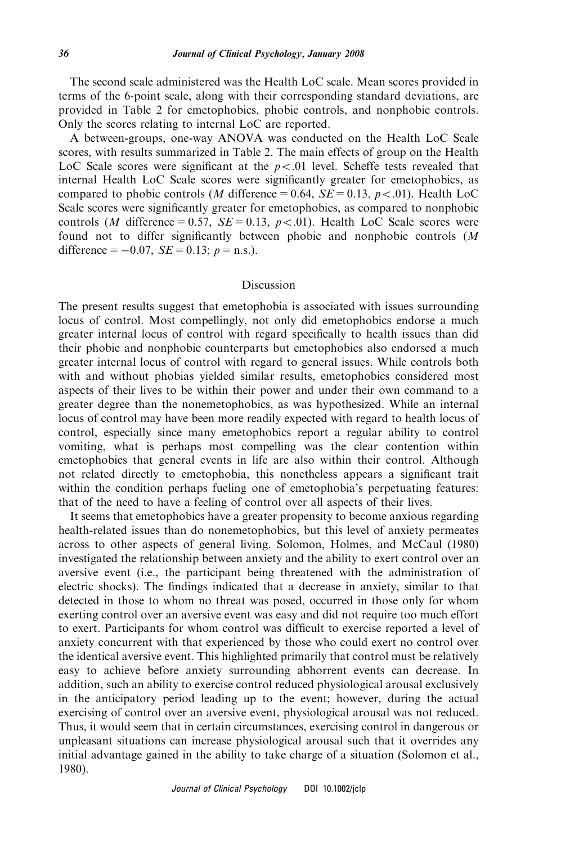The second scale administered was the Health LoC scale. Mean scores provided in terms of the 6-point scale, along with their corresponding standard deviations, are provided in Table 2 for emetophobics, phobic controls, and nonphobic controls. Only the scores relating to internal LoC are reported.

A between-groups, one-way ANOVA was conducted on the Health LoC Scale scores, with results summarized in Table 2. The main effects of group on the Health LoC Scale scores were significant at the  $p < 01$  level. Scheffe tests revealed that internal Health LoC Scale scores were significantly greater for emetophobics, as compared to phobic controls (M difference = 0.64,  $SE = 0.13$ , p < 0.01). Health LoC Scale scores were significantly greater for emetophobics, as compared to nonphobic controls (M difference = 0.57,  $SE = 0.13$ ,  $p < .01$ ). Health LoC Scale scores were found not to differ significantly between phobic and nonphobic controls (M difference =  $-0.07$ ,  $SE = 0.13$ ; p = n.s.).

#### Discussion

The present results suggest that emetophobia is associated with issues surrounding locus of control. Most compellingly, not only did emetophobics endorse a much greater internal locus of control with regard specifically to health issues than did their phobic and nonphobic counterparts but emetophobics also endorsed a much greater internal locus of control with regard to general issues. While controls both with and without phobias yielded similar results, emetophobics considered most aspects of their lives to be within their power and under their own command to a greater degree than the nonemetophobics, as was hypothesized. While an internal locus of control may have been more readily expected with regard to health locus of control, especially since many emetophobics report a regular ability to control vomiting, what is perhaps most compelling was the clear contention within emetophobics that general events in life are also within their control. Although not related directly to emetophobia, this nonetheless appears a significant trait within the condition perhaps fueling one of emetophobia's perpetuating features: that of the need to have a feeling of control over all aspects of their lives.

It seems that emetophobics have a greater propensity to become anxious regarding health-related issues than do nonemetophobics, but this level of anxiety permeates across to other aspects of general living. Solomon, Holmes, and McCaul (1980) investigated the relationship between anxiety and the ability to exert control over an aversive event (i.e., the participant being threatened with the administration of electric shocks). The findings indicated that a decrease in anxiety, similar to that detected in those to whom no threat was posed, occurred in those only for whom exerting control over an aversive event was easy and did not require too much effort to exert. Participants for whom control was difficult to exercise reported a level of anxiety concurrent with that experienced by those who could exert no control over the identical aversive event. This highlighted primarily that control must be relatively easy to achieve before anxiety surrounding abhorrent events can decrease. In addition, such an ability to exercise control reduced physiological arousal exclusively in the anticipatory period leading up to the event; however, during the actual exercising of control over an aversive event, physiological arousal was not reduced. Thus, it would seem that in certain circumstances, exercising control in dangerous or unpleasant situations can increase physiological arousal such that it overrides any initial advantage gained in the ability to take charge of a situation (Solomon et al., 1980).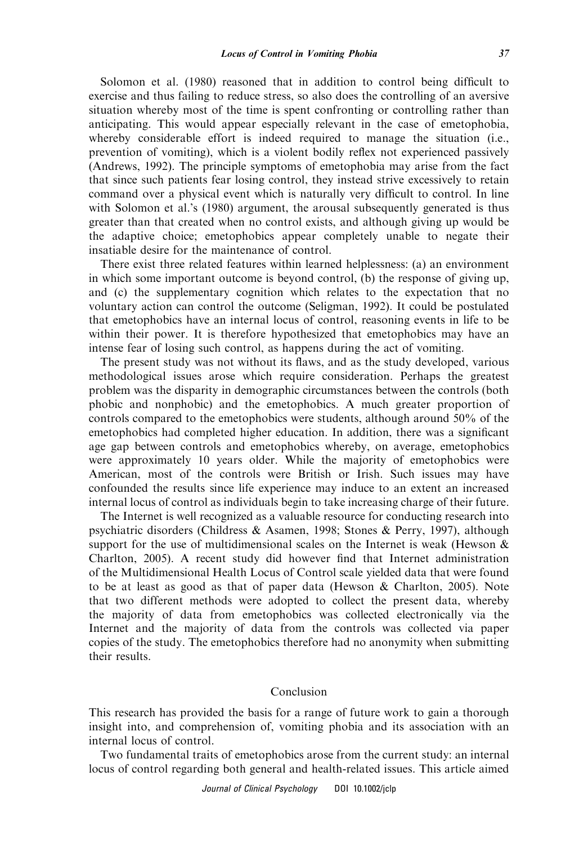Solomon et al. (1980) reasoned that in addition to control being difficult to exercise and thus failing to reduce stress, so also does the controlling of an aversive situation whereby most of the time is spent confronting or controlling rather than anticipating. This would appear especially relevant in the case of emetophobia, whereby considerable effort is indeed required to manage the situation (i.e., prevention of vomiting), which is a violent bodily reflex not experienced passively (Andrews, 1992). The principle symptoms of emetophobia may arise from the fact that since such patients fear losing control, they instead strive excessively to retain command over a physical event which is naturally very difficult to control. In line with Solomon et al.'s (1980) argument, the arousal subsequently generated is thus greater than that created when no control exists, and although giving up would be the adaptive choice; emetophobics appear completely unable to negate their insatiable desire for the maintenance of control.

There exist three related features within learned helplessness: (a) an environment in which some important outcome is beyond control, (b) the response of giving up, and (c) the supplementary cognition which relates to the expectation that no voluntary action can control the outcome (Seligman, 1992). It could be postulated that emetophobics have an internal locus of control, reasoning events in life to be within their power. It is therefore hypothesized that emetophobics may have an intense fear of losing such control, as happens during the act of vomiting.

The present study was not without its flaws, and as the study developed, various methodological issues arose which require consideration. Perhaps the greatest problem was the disparity in demographic circumstances between the controls (both phobic and nonphobic) and the emetophobics. A much greater proportion of controls compared to the emetophobics were students, although around 50% of the emetophobics had completed higher education. In addition, there was a significant age gap between controls and emetophobics whereby, on average, emetophobics were approximately 10 years older. While the majority of emetophobics were American, most of the controls were British or Irish. Such issues may have confounded the results since life experience may induce to an extent an increased internal locus of control as individuals begin to take increasing charge of their future.

The Internet is well recognized as a valuable resource for conducting research into psychiatric disorders (Childress & Asamen, 1998; Stones & Perry, 1997), although support for the use of multidimensional scales on the Internet is weak (Hewson  $\&$ Charlton, 2005). A recent study did however find that Internet administration of the Multidimensional Health Locus of Control scale yielded data that were found to be at least as good as that of paper data (Hewson & Charlton, 2005). Note that two different methods were adopted to collect the present data, whereby the majority of data from emetophobics was collected electronically via the Internet and the majority of data from the controls was collected via paper copies of the study. The emetophobics therefore had no anonymity when submitting their results.

#### Conclusion

This research has provided the basis for a range of future work to gain a thorough insight into, and comprehension of, vomiting phobia and its association with an internal locus of control.

Two fundamental traits of emetophobics arose from the current study: an internal locus of control regarding both general and health-related issues. This article aimed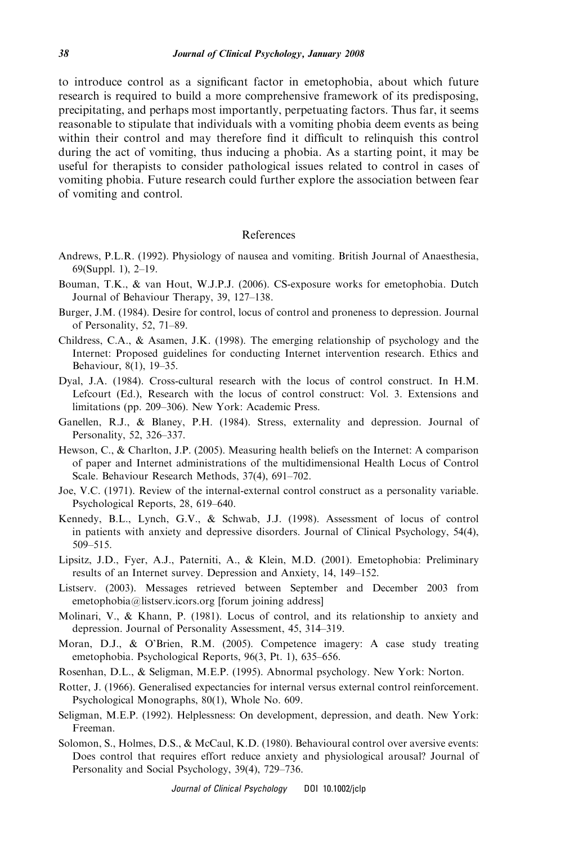to introduce control as a significant factor in emetophobia, about which future research is required to build a more comprehensive framework of its predisposing, precipitating, and perhaps most importantly, perpetuating factors. Thus far, it seems reasonable to stipulate that individuals with a vomiting phobia deem events as being within their control and may therefore find it difficult to relinquish this control during the act of vomiting, thus inducing a phobia. As a starting point, it may be useful for therapists to consider pathological issues related to control in cases of vomiting phobia. Future research could further explore the association between fear of vomiting and control.

### References

- Andrews, P.L.R. (1992). Physiology of nausea and vomiting. British Journal of Anaesthesia, 69(Suppl. 1), 2–19.
- Bouman, T.K., & van Hout, W.J.P.J. (2006). CS-exposure works for emetophobia. Dutch Journal of Behaviour Therapy, 39, 127–138.
- Burger, J.M. (1984). Desire for control, locus of control and proneness to depression. Journal of Personality, 52, 71–89.
- Childress, C.A., & Asamen, J.K. (1998). The emerging relationship of psychology and the Internet: Proposed guidelines for conducting Internet intervention research. Ethics and Behaviour, 8(1), 19–35.
- Dyal, J.A. (1984). Cross-cultural research with the locus of control construct. In H.M. Lefcourt (Ed.), Research with the locus of control construct: Vol. 3. Extensions and limitations (pp. 209–306). New York: Academic Press.
- Ganellen, R.J., & Blaney, P.H. (1984). Stress, externality and depression. Journal of Personality, 52, 326–337.
- Hewson, C., & Charlton, J.P. (2005). Measuring health beliefs on the Internet: A comparison of paper and Internet administrations of the multidimensional Health Locus of Control Scale. Behaviour Research Methods, 37(4), 691–702.
- Joe, V.C. (1971). Review of the internal-external control construct as a personality variable. Psychological Reports, 28, 619–640.
- Kennedy, B.L., Lynch, G.V., & Schwab, J.J. (1998). Assessment of locus of control in patients with anxiety and depressive disorders. Journal of Clinical Psychology, 54(4), 509–515.
- Lipsitz, J.D., Fyer, A.J., Paterniti, A., & Klein, M.D. (2001). Emetophobia: Preliminary results of an Internet survey. Depression and Anxiety, 14, 149–152.
- Listserv. (2003). Messages retrieved between September and December 2003 from emetophobia@listserv.icors.org [forum joining address]
- Molinari, V., & Khann, P. (1981). Locus of control, and its relationship to anxiety and depression. Journal of Personality Assessment, 45, 314–319.
- Moran, D.J., & O'Brien, R.M. (2005). Competence imagery: A case study treating emetophobia. Psychological Reports, 96(3, Pt. 1), 635–656.
- Rosenhan, D.L., & Seligman, M.E.P. (1995). Abnormal psychology. New York: Norton.
- Rotter, J. (1966). Generalised expectancies for internal versus external control reinforcement. Psychological Monographs, 80(1), Whole No. 609.
- Seligman, M.E.P. (1992). Helplessness: On development, depression, and death. New York: Freeman.
- Solomon, S., Holmes, D.S., & McCaul, K.D. (1980). Behavioural control over aversive events: Does control that requires effort reduce anxiety and physiological arousal? Journal of Personality and Social Psychology, 39(4), 729–736.